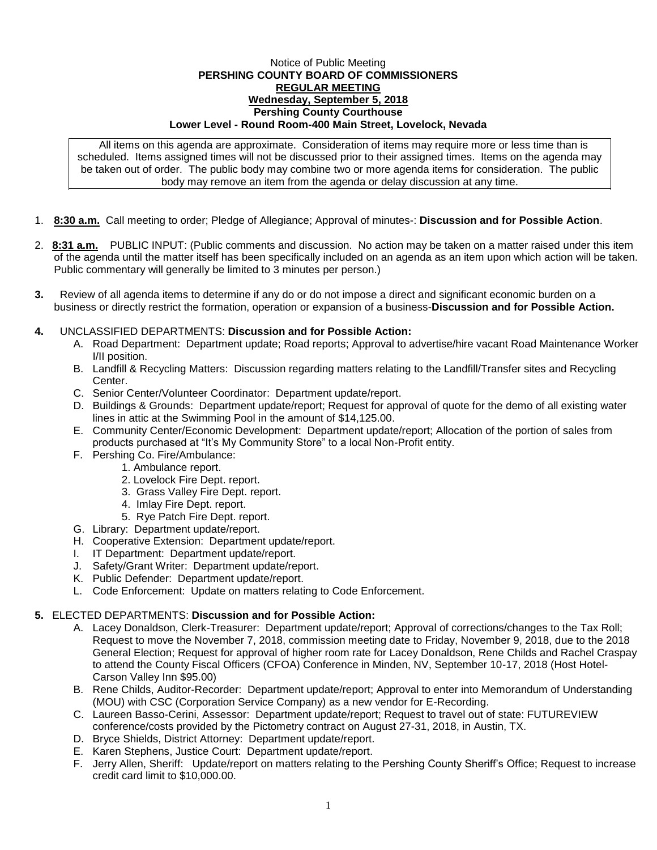## Notice of Public Meeting **PERSHING COUNTY BOARD OF COMMISSIONERS REGULAR MEETING Wednesday, September 5, 2018 Pershing County Courthouse Lower Level - Round Room-400 Main Street, Lovelock, Nevada**

All items on this agenda are approximate. Consideration of items may require more or less time than is scheduled. Items assigned times will not be discussed prior to their assigned times. Items on the agenda may be taken out of order. The public body may combine two or more agenda items for consideration. The public body may remove an item from the agenda or delay discussion at any time.

- 1. **8:30 a.m.** Call meeting to order; Pledge of Allegiance; Approval of minutes-: **Discussion and for Possible Action**.
- 2. **8:31 a.m.** PUBLIC INPUT: (Public comments and discussion. No action may be taken on a matter raised under this item of the agenda until the matter itself has been specifically included on an agenda as an item upon which action will be taken. Public commentary will generally be limited to 3 minutes per person.)
- **3.** Review of all agenda items to determine if any do or do not impose a direct and significant economic burden on a business or directly restrict the formation, operation or expansion of a business-**Discussion and for Possible Action.**
- **4.** UNCLASSIFIED DEPARTMENTS: **Discussion and for Possible Action:**
	- A. Road Department: Department update; Road reports; Approval to advertise/hire vacant Road Maintenance Worker I/II position.
	- B. Landfill & Recycling Matters: Discussion regarding matters relating to the Landfill/Transfer sites and Recycling Center.
	- C. Senior Center/Volunteer Coordinator: Department update/report.
	- D. Buildings & Grounds: Department update/report; Request for approval of quote for the demo of all existing water lines in attic at the Swimming Pool in the amount of \$14,125.00.
	- E. Community Center/Economic Development: Department update/report; Allocation of the portion of sales from products purchased at "It's My Community Store" to a local Non-Profit entity.
	- F. Pershing Co. Fire/Ambulance:
		- 1. Ambulance report.
		- 2. Lovelock Fire Dept. report.
		- 3. Grass Valley Fire Dept. report.
		- 4. Imlay Fire Dept. report.
		- 5. Rye Patch Fire Dept. report.
	- G. Library: Department update/report.
	- H. Cooperative Extension: Department update/report.
	- I. IT Department: Department update/report.
	- J. Safety/Grant Writer: Department update/report.
	- K. Public Defender: Department update/report.
	- L. Code Enforcement: Update on matters relating to Code Enforcement.

## **5.** ELECTED DEPARTMENTS: **Discussion and for Possible Action:**

- A. Lacey Donaldson, Clerk-Treasurer: Department update/report; Approval of corrections/changes to the Tax Roll; Request to move the November 7, 2018, commission meeting date to Friday, November 9, 2018, due to the 2018 General Election; Request for approval of higher room rate for Lacey Donaldson, Rene Childs and Rachel Craspay to attend the County Fiscal Officers (CFOA) Conference in Minden, NV, September 10-17, 2018 (Host Hotel-Carson Valley Inn \$95.00)
- B. Rene Childs, Auditor-Recorder: Department update/report; Approval to enter into Memorandum of Understanding (MOU) with CSC (Corporation Service Company) as a new vendor for E-Recording.
- C. Laureen Basso-Cerini, Assessor: Department update/report; Request to travel out of state: FUTUREVIEW conference/costs provided by the Pictometry contract on August 27-31, 2018, in Austin, TX.
- D. Bryce Shields, District Attorney: Department update/report.
- E. Karen Stephens, Justice Court: Department update/report.
- F. Jerry Allen, Sheriff: Update/report on matters relating to the Pershing County Sheriff's Office; Request to increase credit card limit to \$10,000.00.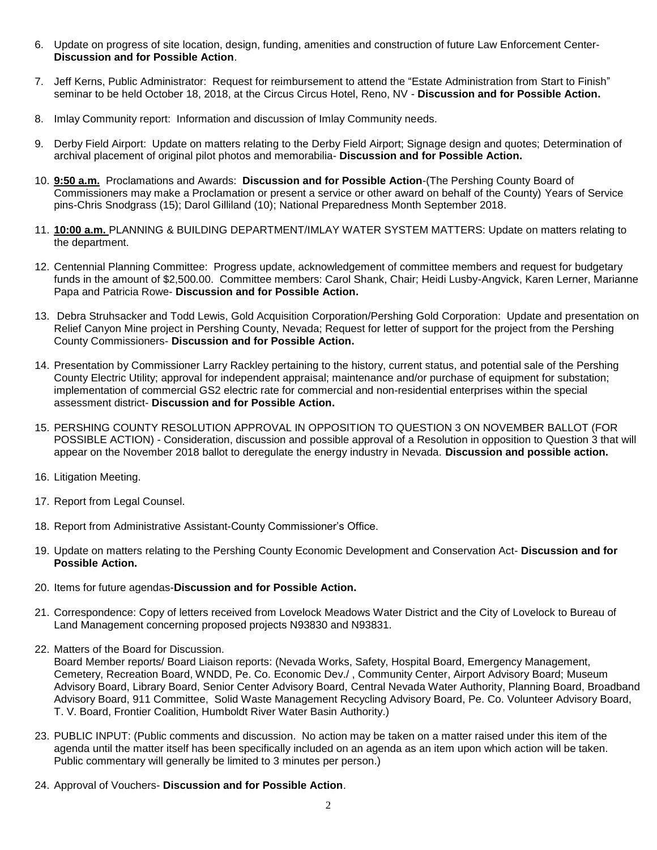- 6. Update on progress of site location, design, funding, amenities and construction of future Law Enforcement Center-**Discussion and for Possible Action**.
- 7. Jeff Kerns, Public Administrator: Request for reimbursement to attend the "Estate Administration from Start to Finish" seminar to be held October 18, 2018, at the Circus Circus Hotel, Reno, NV - **Discussion and for Possible Action.**
- 8. Imlay Community report: Information and discussion of Imlay Community needs.
- 9. Derby Field Airport: Update on matters relating to the Derby Field Airport; Signage design and quotes; Determination of archival placement of original pilot photos and memorabilia- **Discussion and for Possible Action.**
- 10. **9:50 a.m.** Proclamations and Awards: **Discussion and for Possible Action**-(The Pershing County Board of Commissioners may make a Proclamation or present a service or other award on behalf of the County) Years of Service pins-Chris Snodgrass (15); Darol Gilliland (10); National Preparedness Month September 2018.
- 11. **10:00 a.m.** PLANNING & BUILDING DEPARTMENT/IMLAY WATER SYSTEM MATTERS: Update on matters relating to the department.
- 12. Centennial Planning Committee: Progress update, acknowledgement of committee members and request for budgetary funds in the amount of \$2,500.00. Committee members: Carol Shank, Chair; Heidi Lusby-Angvick, Karen Lerner, Marianne Papa and Patricia Rowe- **Discussion and for Possible Action.**
- 13. Debra Struhsacker and Todd Lewis, Gold Acquisition Corporation/Pershing Gold Corporation: Update and presentation on Relief Canyon Mine project in Pershing County, Nevada; Request for letter of support for the project from the Pershing County Commissioners- **Discussion and for Possible Action.**
- 14. Presentation by Commissioner Larry Rackley pertaining to the history, current status, and potential sale of the Pershing County Electric Utility; approval for independent appraisal; maintenance and/or purchase of equipment for substation; implementation of commercial GS2 electric rate for commercial and non-residential enterprises within the special assessment district- **Discussion and for Possible Action.**
- 15. PERSHING COUNTY RESOLUTION APPROVAL IN OPPOSITION TO QUESTION 3 ON NOVEMBER BALLOT (FOR POSSIBLE ACTION) - Consideration, discussion and possible approval of a Resolution in opposition to Question 3 that will appear on the November 2018 ballot to deregulate the energy industry in Nevada. **Discussion and possible action.**
- 16. Litigation Meeting.
- 17. Report from Legal Counsel.
- 18. Report from Administrative Assistant-County Commissioner's Office.
- 19. Update on matters relating to the Pershing County Economic Development and Conservation Act- **Discussion and for Possible Action.**
- 20. Items for future agendas-**Discussion and for Possible Action.**
- 21. Correspondence: Copy of letters received from Lovelock Meadows Water District and the City of Lovelock to Bureau of Land Management concerning proposed projects N93830 and N93831.
- 22. Matters of the Board for Discussion.

Board Member reports/ Board Liaison reports: (Nevada Works, Safety, Hospital Board, Emergency Management, Cemetery, Recreation Board, WNDD, Pe. Co. Economic Dev./ , Community Center, Airport Advisory Board; Museum Advisory Board, Library Board, Senior Center Advisory Board, Central Nevada Water Authority, Planning Board, Broadband Advisory Board, 911 Committee, Solid Waste Management Recycling Advisory Board, Pe. Co. Volunteer Advisory Board, T. V. Board, Frontier Coalition, Humboldt River Water Basin Authority.)

- 23. PUBLIC INPUT: (Public comments and discussion. No action may be taken on a matter raised under this item of the agenda until the matter itself has been specifically included on an agenda as an item upon which action will be taken. Public commentary will generally be limited to 3 minutes per person.)
- 24. Approval of Vouchers- **Discussion and for Possible Action**.